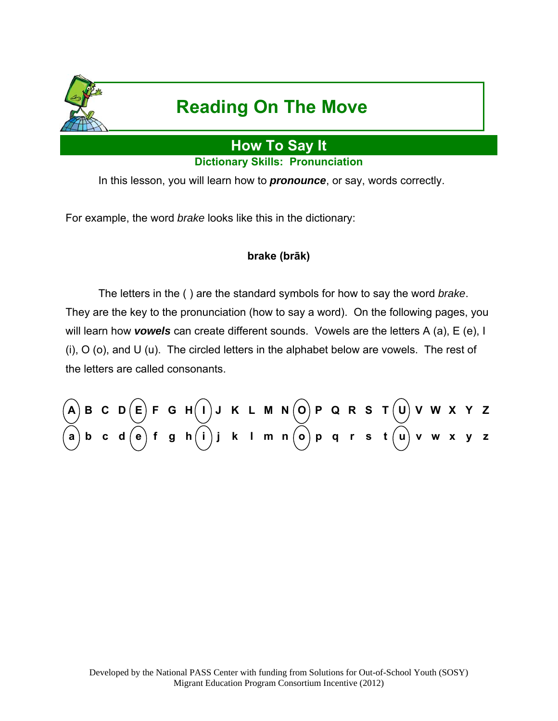

# **Reading On The Move**

## **How To Say It**

**Dictionary Skills: Pronunciation** 

In this lesson, you will learn how to *pronounce*, or say, words correctly.

For example, the word *brake* looks like this in the dictionary:

### **brake (brāk)**

 The letters in the ( ) are the standard symbols for how to say the word *brake*. They are the key to the pronunciation (how to say a word). On the following pages, you will learn how *vowels* can create different sounds. Vowels are the letters A (a), E (e), I (i), O (o), and U (u). The circled letters in the alphabet below are vowels. The rest of the letters are called consonants.

**A B C D E F G H I J K L M N O P Q R S T U V W X Y Z a b c d e f g h i j k l m n o p q r s t u v w x y z**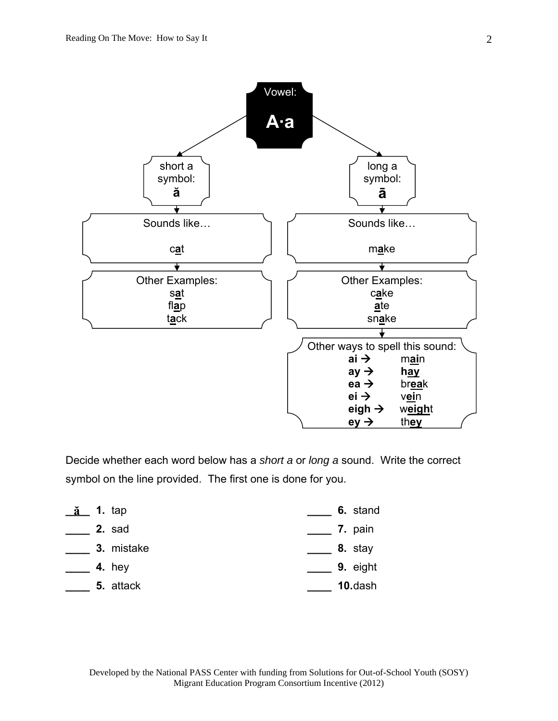

Decide whether each word below has a *short a* or *long a* sound. Write the correct symbol on the line provided. The first one is done for you.

| $\underline{\check{a}}$ 1. tap | 6. stand |
|--------------------------------|----------|
| 2. sad                         | 7. pain  |
| 3. mistake                     | 8. stay  |
| 4. hey                         | 9. eight |
| 5. attack                      | 10.dash  |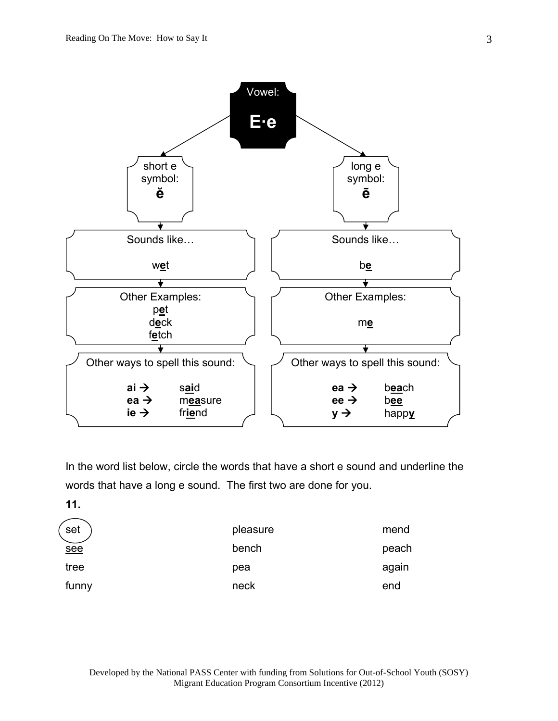

In the word list below, circle the words that have a short e sound and underline the words that have a long e sound. The first two are done for you.

**11.** 

| set   | pleasure | mend  |
|-------|----------|-------|
| see   | bench    | peach |
| tree  | pea      | again |
| funny | neck     | end   |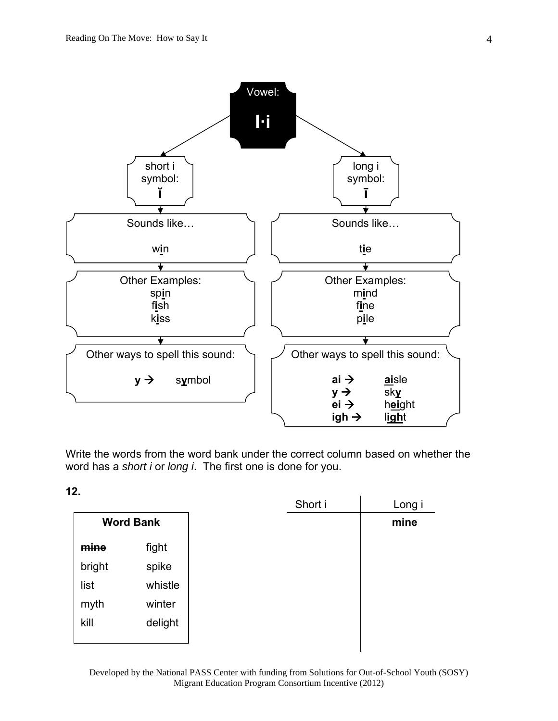

Write the words from the word bank under the correct column based on whether the word has a *short i* or *long i*. The first one is done for you.

**12.** 

|        |                  | Short i |
|--------|------------------|---------|
|        | <b>Word Bank</b> |         |
| mine   | fight            |         |
| bright | spike            |         |
| list   | whistle          |         |
| myth   | winter           |         |
| kill   | delight          |         |
|        |                  |         |

Developed by the National PASS Center with funding from Solutions for Out-of-School Youth (SOSY) Migrant Education Program Consortium Incentive (2012)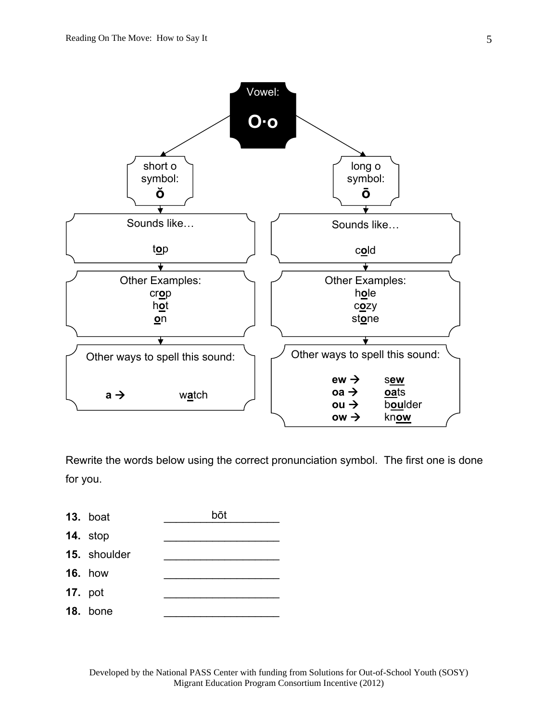

Rewrite the words below using the correct pronunciation symbol. The first one is done for you.



**14.** stop

- 15. shoulder
- **16.** how
- **17.** pot
- **18. bone**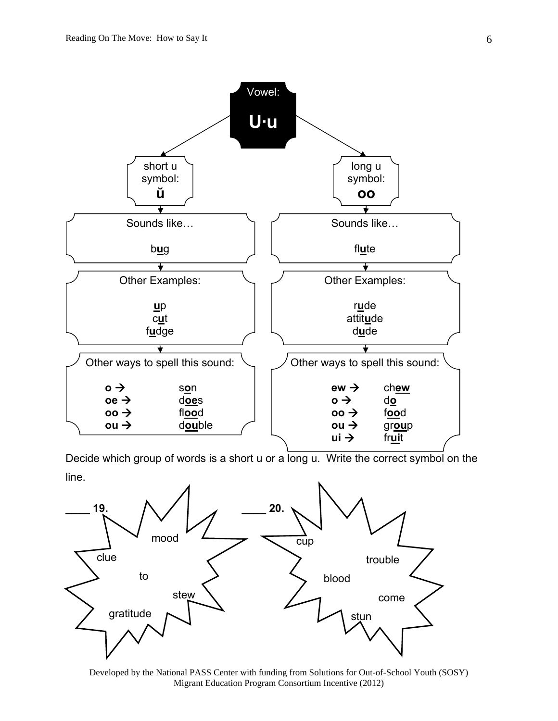

Decide which group of words is a short u or a long u. Write the correct symbol on the line.



Developed by the National PASS Center with funding from Solutions for Out-of-School Youth (SOSY) Migrant Education Program Consortium Incentive (2012)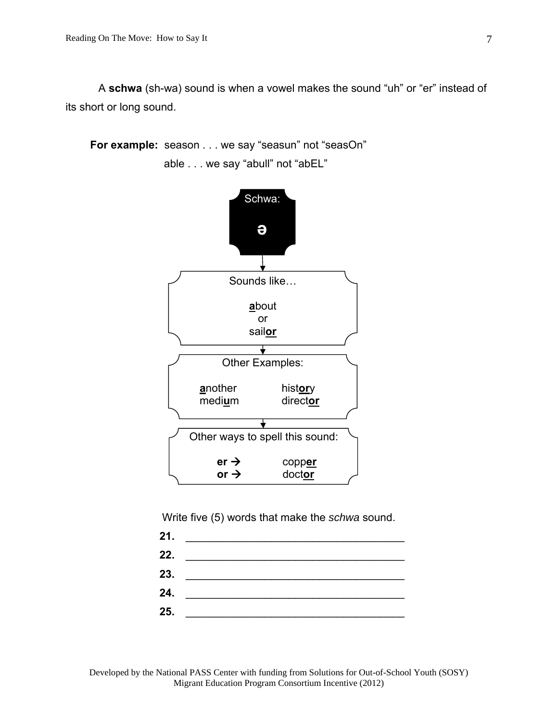A **schwa** (sh-wa) sound is when a vowel makes the sound "uh" or "er" instead of its short or long sound.

**For example:** season . . . we say "seasun" not "seasOn" able . . . we say "abull" not "abEL"



Write five (5) words that make the *schwa* sound.

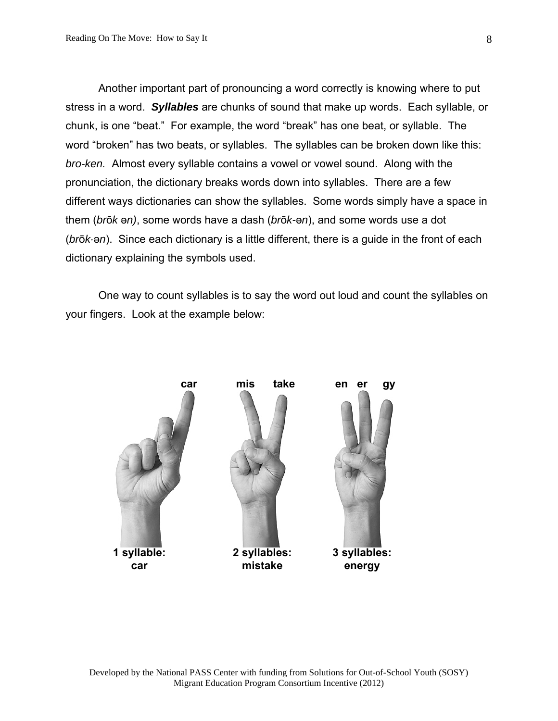Another important part of pronouncing a word correctly is knowing where to put stress in a word. *Syllables* are chunks of sound that make up words. Each syllable, or chunk, is one "beat." For example, the word "break" has one beat, or syllable. The word "broken" has two beats, or syllables. The syllables can be broken down like this: *bro-ken.* Almost every syllable contains a vowel or vowel sound. Along with the pronunciation, the dictionary breaks words down into syllables. There are a few different ways dictionaries can show the syllables. Some words simply have a space in them (*br*ō*k* ə*n)*, some words have a dash (*br*ō*k-*ə*n*), and some words use a dot (*br*ō*k·*ə*n*). Since each dictionary is a little different, there is a guide in the front of each dictionary explaining the symbols used.

 One way to count syllables is to say the word out loud and count the syllables on your fingers. Look at the example below:

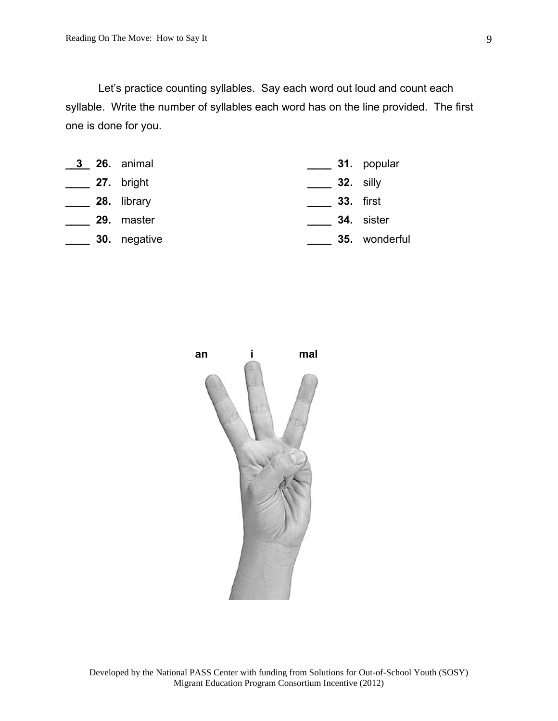Let's practice counting syllables. Say each word out loud and count each syllable. Write the number of syllables each word has on the line provided. The first one is done for you.

|  | <b>3 26.</b> animal |                  | $\overline{\phantom{a}}$ 31. popular |
|--|---------------------|------------------|--------------------------------------|
|  | 27. bright          | <b>32.</b> silly |                                      |
|  | 28. library         | <b>33.</b> first |                                      |
|  | 29. master          |                  | 34. sister                           |
|  | <b>30.</b> negative |                  | <b>35.</b> wonderful                 |

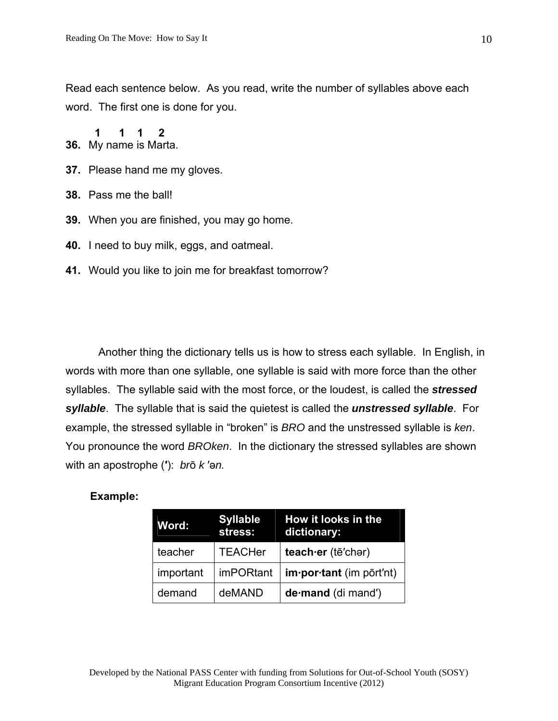Read each sentence below. As you read, write the number of syllables above each word. The first one is done for you.

**36.** My name is Marta.  **1 1 1 2** 

- **37.** Please hand me my gloves.
- **38.** Pass me the ball!
- **39.** When you are finished, you may go home.
- **40.** I need to buy milk, eggs, and oatmeal.
- **41.** Would you like to join me for breakfast tomorrow?

 Another thing the dictionary tells us is how to stress each syllable. In English, in words with more than one syllable, one syllable is said with more force than the other syllables. The syllable said with the most force, or the loudest, is called the *stressed syllable*. The syllable that is said the quietest is called the *unstressed syllable*. For example, the stressed syllable in "broken" is *BRO* and the unstressed syllable is *ken*. You pronounce the word *BROken*. In the dictionary the stressed syllables are shown with an apostrophe (**′**): *br*ō *k* ′ə*n.* 

#### **Example:**

| Word:     | <b>Syllable</b><br>stress: | How it looks in the<br>dictionary: |
|-----------|----------------------------|------------------------------------|
| teacher   | <b>TEACHer</b>             | teach er (tē'char)                 |
| important | <b>imPORtant</b>           | $im$ <i>por tant</i> (im port'nt)  |
| demand    | deMAND                     | de mand (di mand')                 |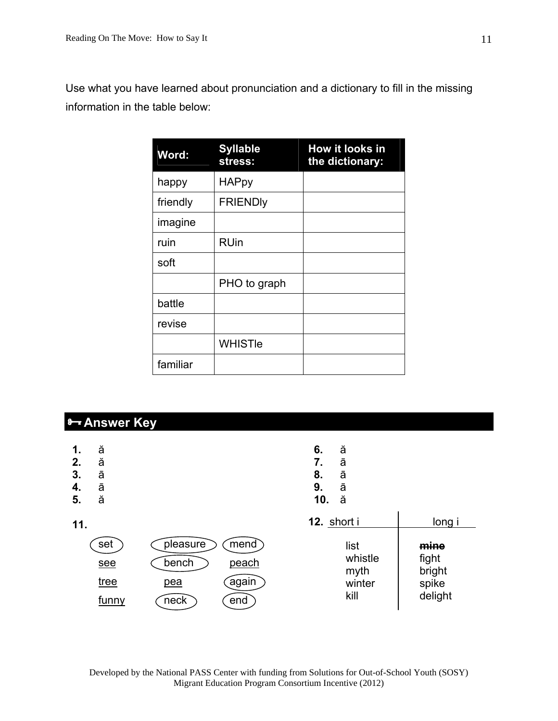Use what you have learned about pronunciation and a dictionary to fill in the missing information in the table below:

| Word:    | <b>Syllable</b><br>stress: | How it looks in<br>the dictionary: |
|----------|----------------------------|------------------------------------|
| happy    | <b>HAPpy</b>               |                                    |
| friendly | <b>FRIENDIY</b>            |                                    |
| imagine  |                            |                                    |
| ruin     | <b>RUin</b>                |                                    |
| soft     |                            |                                    |
|          | PHO to graph               |                                    |
| battle   |                            |                                    |
| revise   |                            |                                    |
|          | <b>WHISTIe</b>             |                                    |
| familiar |                            |                                    |

### **Answer Key**

| 1.<br>2.<br>3.<br>4.<br>5. | ă<br>ă<br>ā<br>ā<br>ă                     |                                  |                               | 6.<br>7.<br>8.<br>9.<br>10. | ă<br>ā<br>ā<br>ā<br>ă                     |                                             |
|----------------------------|-------------------------------------------|----------------------------------|-------------------------------|-----------------------------|-------------------------------------------|---------------------------------------------|
| 11.                        |                                           |                                  |                               | 12. short i                 |                                           | long i                                      |
|                            | set<br>see<br><u>tree</u><br><u>funny</u> | pleasure<br>bench<br>pea<br>neck | mend<br>peach<br>again<br>end |                             | list<br>whistle<br>myth<br>winter<br>kill | mine<br>fight<br>bright<br>spike<br>delight |